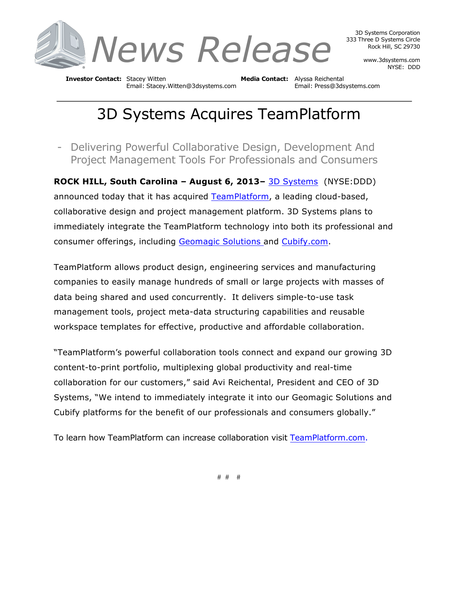

3D Systems Corporation 333 Three D Systems Circle Rock Hill, SC 29730

> www.3dsystems.com NYSE: DDD

**Investor Contact:** Stacey Witten **Media Contact:** Alyssa Reichental Email: Stacey.Witten@3dsystems.com Email: Press@3dsystems.com

## 3D Systems Acquires TeamPlatform

- Delivering Powerful Collaborative Design, Development And Project Management Tools For Professionals and Consumers

**ROCK HILL, South Carolina – August 6, 2013–** 3D Systems (NYSE:DDD) announced today that it has acquired TeamPlatform, a leading cloud-based, collaborative design and project management platform. 3D Systems plans to immediately integrate the TeamPlatform technology into both its professional and consumer offerings, including Geomagic Solutions and Cubify.com.

TeamPlatform allows product design, engineering services and manufacturing companies to easily manage hundreds of small or large projects with masses of data being shared and used concurrently. It delivers simple-to-use task management tools, project meta-data structuring capabilities and reusable workspace templates for effective, productive and affordable collaboration.

"TeamPlatform's powerful collaboration tools connect and expand our growing 3D content-to-print portfolio, multiplexing global productivity and real-time collaboration for our customers," said Avi Reichental, President and CEO of 3D Systems, "We intend to immediately integrate it into our Geomagic Solutions and Cubify platforms for the benefit of our professionals and consumers globally."

To learn how TeamPlatform can increase collaboration visit TeamPlatform.com.

# # #